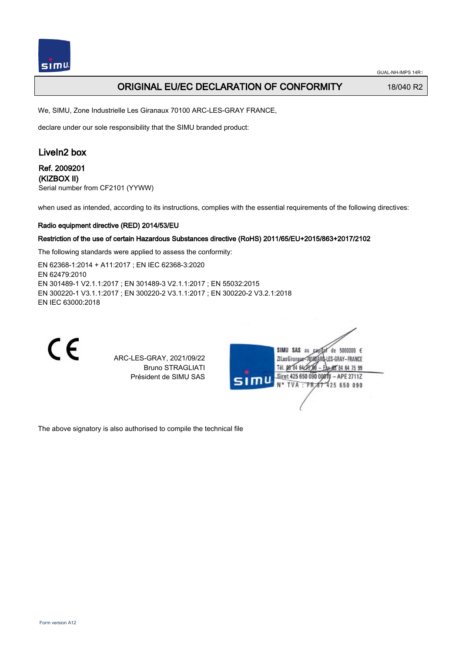## ORIGINAL EU/EC DECLARATION OF CONFORMITY 18/040 R2

We, SIMU, Zone Industrielle Les Giranaux 70100 ARC-LES-GRAY FRANCE,

declare under our sole responsibility that the SIMU branded product:

# LiveIn2 box

### Ref. 2009201 (KIZBOX II)

Serial number from CF2101 (YYWW)

when used as intended, according to its instructions, complies with the essential requirements of the following directives:

#### Radio equipment directive (RED) 2014/53/EU

#### Restriction of the use of certain Hazardous Substances directive (RoHS) 2011/65/EU+2015/863+2017/2102

The following standards were applied to assess the conformity:

EN 62368‑1:2014 + A11:2017 ; EN IEC 62368‑3:2020 EN 62479:2010 EN 301489‑1 V2.1.1:2017 ; EN 301489‑3 V2.1.1:2017 ; EN 55032:2015 EN 300220‑1 V3.1.1:2017 ; EN 300220‑2 V3.1.1:2017 ; EN 300220‑2 V3.2.1:2018 EN IEC 63000:2018



ARC-LES-GRAY, 2021/09/22 Bruno STRAGLIATI Président de SIMU SAS

| 5000000 $\epsilon$<br>SIMU<br>SAS<br>âu<br>de<br>LES-GRAY-FRANCE<br>ZI Les Giranaux<<br>Tél. 03 84 64<br>* \$5 84 64 75 99 |  |
|----------------------------------------------------------------------------------------------------------------------------|--|
| Siret 425 650 090 00811<br>$-$ APE 2711Z<br>S <sub>1</sub><br>N° TVA : FR 67 425 650 090                                   |  |
|                                                                                                                            |  |

The above signatory is also authorised to compile the technical file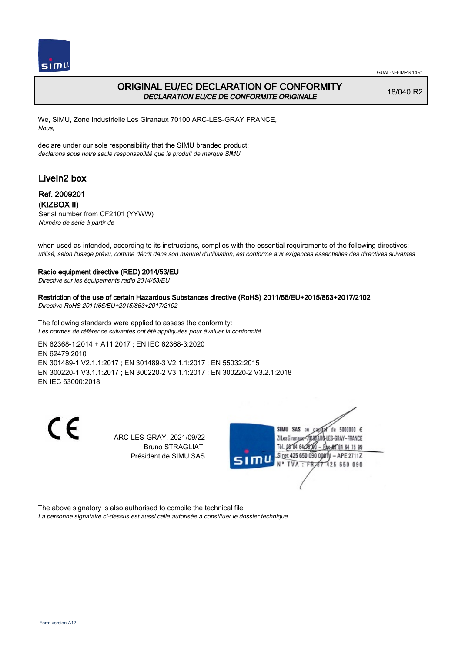

## ORIGINAL EU/EC DECLARATION OF CONFORMITY DECLARATION EU/CE DE CONFORMITE ORIGINALE

18/040 R2

We, SIMU, Zone Industrielle Les Giranaux 70100 ARC-LES-GRAY FRANCE, Nous,

declare under our sole responsibility that the SIMU branded product: declarons sous notre seule responsabilité que le produit de marque SIMU

# LiveIn2 box

### Ref. 2009201 (KIZBOX II)

Serial number from CF2101 (YYWW) Numéro de série à partir de

when used as intended, according to its instructions, complies with the essential requirements of the following directives: utilisé, selon l'usage prévu, comme décrit dans son manuel d'utilisation, est conforme aux exigences essentielles des directives suivantes

#### Radio equipment directive (RED) 2014/53/EU

Directive sur les équipements radio 2014/53/EU

Restriction of the use of certain Hazardous Substances directive (RoHS) 2011/65/EU+2015/863+2017/2102 Directive RoHS 2011/65/EU+2015/863+2017/2102

The following standards were applied to assess the conformity: Les normes de référence suivantes ont été appliquées pour évaluer la conformité

EN 62368‑1:2014 + A11:2017 ; EN IEC 62368‑3:2020 EN 62479:2010 EN 301489‑1 V2.1.1:2017 ; EN 301489‑3 V2.1.1:2017 ; EN 55032:2015 EN 300220‑1 V3.1.1:2017 ; EN 300220‑2 V3.1.1:2017 ; EN 300220‑2 V3.2.1:2018 EN IEC 63000:2018

 $\epsilon$ 

ARC-LES-GRAY, 2021/09/22 Bruno STRAGLIATI Président de SIMU SAS



The above signatory is also authorised to compile the technical file

La personne signataire ci-dessus est aussi celle autorisée à constituer le dossier technique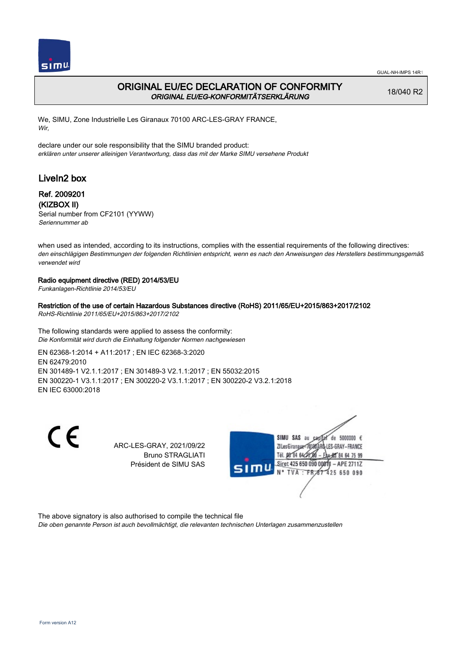

## ORIGINAL EU/EC DECLARATION OF CONFORMITY ORIGINAL EU/EG-KONFORMITÄTSERKLÄRUNG

18/040 R2

We, SIMU, Zone Industrielle Les Giranaux 70100 ARC-LES-GRAY FRANCE, Wir,

declare under our sole responsibility that the SIMU branded product: erklären unter unserer alleinigen Verantwortung, dass das mit der Marke SIMU versehene Produkt

# LiveIn2 box

## Ref. 2009201 (KIZBOX II)

Serial number from CF2101 (YYWW) Seriennummer ab

when used as intended, according to its instructions, complies with the essential requirements of the following directives: den einschlägigen Bestimmungen der folgenden Richtlinien entspricht, wenn es nach den Anweisungen des Herstellers bestimmungsgemäß verwendet wird

### Radio equipment directive (RED) 2014/53/EU

Funkanlagen-Richtlinie 2014/53/EU

#### Restriction of the use of certain Hazardous Substances directive (RoHS) 2011/65/EU+2015/863+2017/2102

RoHS-Richtlinie 2011/65/EU+2015/863+2017/2102

The following standards were applied to assess the conformity: Die Konformität wird durch die Einhaltung folgender Normen nachgewiesen

EN 62368‑1:2014 + A11:2017 ; EN IEC 62368‑3:2020 EN 62479:2010 EN 301489‑1 V2.1.1:2017 ; EN 301489‑3 V2.1.1:2017 ; EN 55032:2015 EN 300220‑1 V3.1.1:2017 ; EN 300220‑2 V3.1.1:2017 ; EN 300220‑2 V3.2.1:2018 EN IEC 63000:2018

 $\epsilon$ 

ARC-LES-GRAY, 2021/09/22 Bruno STRAGLIATI Président de SIMU SAS



The above signatory is also authorised to compile the technical file

Die oben genannte Person ist auch bevollmächtigt, die relevanten technischen Unterlagen zusammenzustellen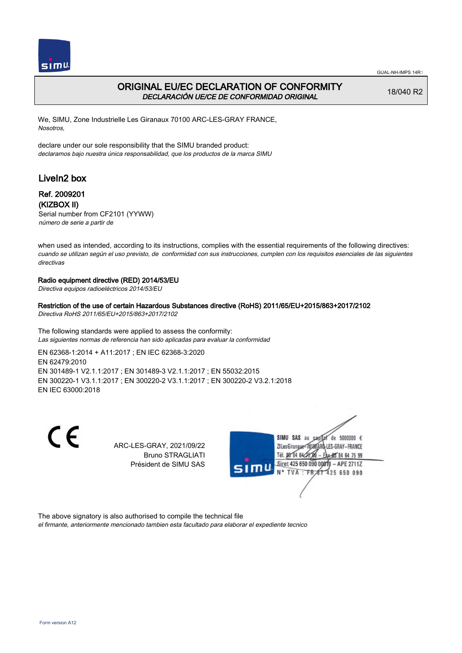

## ORIGINAL EU/EC DECLARATION OF CONFORMITY DECLARACIÓN UE/CE DE CONFORMIDAD ORIGINAL

18/040 R2

We, SIMU, Zone Industrielle Les Giranaux 70100 ARC-LES-GRAY FRANCE, Nosotros,

declare under our sole responsibility that the SIMU branded product: declaramos bajo nuestra única responsabilidad, que los productos de la marca SIMU

# LiveIn2 box

## Ref. 2009201 (KIZBOX II)

Serial number from CF2101 (YYWW) número de serie a partir de

when used as intended, according to its instructions, complies with the essential requirements of the following directives: cuando se utilizan según el uso previsto, de conformidad con sus instrucciones, cumplen con los requisitos esenciales de las siguientes directivas

### Radio equipment directive (RED) 2014/53/EU

Directiva equipos radioeléctricos 2014/53/EU

### Restriction of the use of certain Hazardous Substances directive (RoHS) 2011/65/EU+2015/863+2017/2102

Directiva RoHS 2011/65/EU+2015/863+2017/2102

The following standards were applied to assess the conformity: Las siguientes normas de referencia han sido aplicadas para evaluar la conformidad

EN 62368‑1:2014 + A11:2017 ; EN IEC 62368‑3:2020 EN 62479:2010 EN 301489‑1 V2.1.1:2017 ; EN 301489‑3 V2.1.1:2017 ; EN 55032:2015 EN 300220‑1 V3.1.1:2017 ; EN 300220‑2 V3.1.1:2017 ; EN 300220‑2 V3.2.1:2018 EN IEC 63000:2018

 $\epsilon$ 

ARC-LES-GRAY, 2021/09/22 Bruno STRAGLIATI Président de SIMU SAS



The above signatory is also authorised to compile the technical file el firmante, anteriormente mencionado tambien esta facultado para elaborar el expediente tecnico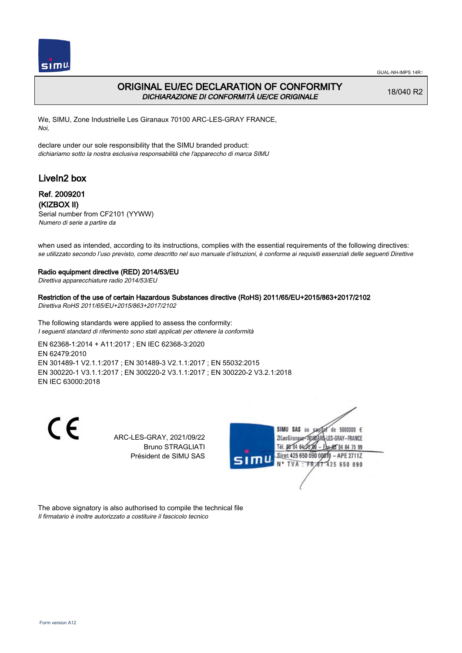

## ORIGINAL EU/EC DECLARATION OF CONFORMITY DICHIARAZIONE DI CONFORMITÀ UE/CE ORIGINALE

18/040 R2

We, SIMU, Zone Industrielle Les Giranaux 70100 ARC-LES-GRAY FRANCE, Noi,

declare under our sole responsibility that the SIMU branded product: dichiariamo sotto la nostra esclusiva responsabilità che l'appareccho di marca SIMU

# LiveIn2 box

### Ref. 2009201 (KIZBOX II)

Serial number from CF2101 (YYWW) Numero di serie a partire da

when used as intended, according to its instructions, complies with the essential requirements of the following directives: se utilizzato secondo l'uso previsto, come descritto nel suo manuale d'istruzioni, è conforme ai requisiti essenziali delle seguenti Direttive

#### Radio equipment directive (RED) 2014/53/EU

Direttiva apparecchiature radio 2014/53/EU

Restriction of the use of certain Hazardous Substances directive (RoHS) 2011/65/EU+2015/863+2017/2102 Direttiva RoHS 2011/65/EU+2015/863+2017/2102

The following standards were applied to assess the conformity: I seguenti standard di riferimento sono stati applicati per ottenere la conformità

EN 62368‑1:2014 + A11:2017 ; EN IEC 62368‑3:2020 EN 62479:2010 EN 301489‑1 V2.1.1:2017 ; EN 301489‑3 V2.1.1:2017 ; EN 55032:2015 EN 300220‑1 V3.1.1:2017 ; EN 300220‑2 V3.1.1:2017 ; EN 300220‑2 V3.2.1:2018 EN IEC 63000:2018

 $\epsilon$ 

ARC-LES-GRAY, 2021/09/22 Bruno STRAGLIATI Président de SIMU SAS



The above signatory is also authorised to compile the technical file Il firmatario è inoltre autorizzato a costituire il fascicolo tecnico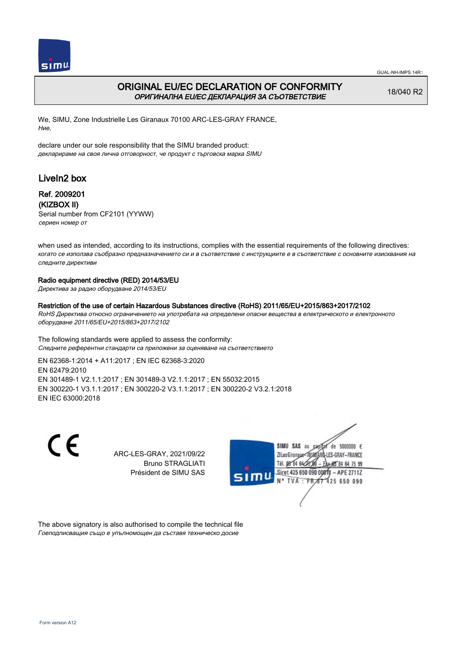

## ORIGINAL EU/EC DECLARATION OF CONFORMITY ОРИГИНАЛНА EU/EC ДЕКЛАРАЦИЯ ЗА СЪОТВЕТСТВИЕ

18/040 R2

We, SIMU, Zone Industrielle Les Giranaux 70100 ARC-LES-GRAY FRANCE, Ние,

declare under our sole responsibility that the SIMU branded product: декларираме на своя лична отговорност, че продукт с търговска марка SIMU

# LiveIn2 box

### Ref. 2009201 (KIZBOX II)

Serial number from CF2101 (YYWW) сериен номер от

when used as intended, according to its instructions, complies with the essential requirements of the following directives: когато се използва съобразно предназначението си и в съответствие с инструкциите е в съответствие с основните изисквания на следните директиви

### Radio equipment directive (RED) 2014/53/EU

Директива за радио оборудване 2014/53/EU

### Restriction of the use of certain Hazardous Substances directive (RoHS) 2011/65/EU+2015/863+2017/2102

RoHS Директива относно ограничението на употребата на определени опасни вещества в електрическото и електронното оборудване 2011/65/EU+2015/863+2017/2102

The following standards were applied to assess the conformity: Следните референтни стандарти са приложени за оценяване на съответствието

EN 62368‑1:2014 + A11:2017 ; EN IEC 62368‑3:2020 EN 62479:2010 EN 301489‑1 V2.1.1:2017 ; EN 301489‑3 V2.1.1:2017 ; EN 55032:2015 EN 300220‑1 V3.1.1:2017 ; EN 300220‑2 V3.1.1:2017 ; EN 300220‑2 V3.2.1:2018 EN IEC 63000:2018

 $\epsilon$ 

ARC-LES-GRAY, 2021/09/22 Bruno STRAGLIATI Président de SIMU SAS



The above signatory is also authorised to compile the technical file Гоеподписващия също е упълномощен да съставя техническо досие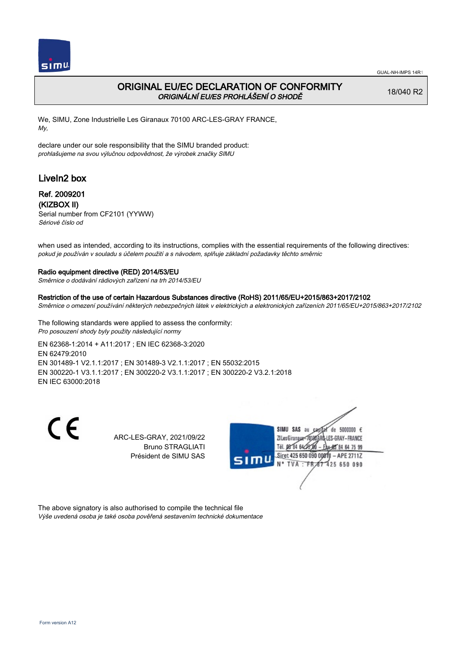

## ORIGINAL EU/EC DECLARATION OF CONFORMITY ORIGINÁLNÍ EU/ES PROHLÁŠENÍ O SHODĚ

18/040 R2

We, SIMU, Zone Industrielle Les Giranaux 70100 ARC-LES-GRAY FRANCE, My,

declare under our sole responsibility that the SIMU branded product: prohlašujeme na svou výlučnou odpovědnost, že výrobek značky SIMU

# LiveIn2 box

## Ref. 2009201 (KIZBOX II)

Serial number from CF2101 (YYWW) Sériové číslo od

when used as intended, according to its instructions, complies with the essential requirements of the following directives: pokud je používán v souladu s účelem použití a s návodem, splňuje základní požadavky těchto směrnic

### Radio equipment directive (RED) 2014/53/EU

Směrnice o dodávání rádiových zařízení na trh 2014/53/EU

### Restriction of the use of certain Hazardous Substances directive (RoHS) 2011/65/EU+2015/863+2017/2102

Směrnice o omezení používání některých nebezpečných látek v elektrických a elektronických zařízeních 2011/65/EU+2015/863+2017/2102

The following standards were applied to assess the conformity: Pro posouzení shody byly použity následující normy

EN 62368‑1:2014 + A11:2017 ; EN IEC 62368‑3:2020 EN 62479:2010 EN 301489‑1 V2.1.1:2017 ; EN 301489‑3 V2.1.1:2017 ; EN 55032:2015 EN 300220‑1 V3.1.1:2017 ; EN 300220‑2 V3.1.1:2017 ; EN 300220‑2 V3.2.1:2018 EN IEC 63000:2018

 $\epsilon$ 

ARC-LES-GRAY, 2021/09/22 Bruno STRAGLIATI Président de SIMU SAS



The above signatory is also authorised to compile the technical file Výše uvedená osoba je také osoba pověřená sestavením technické dokumentace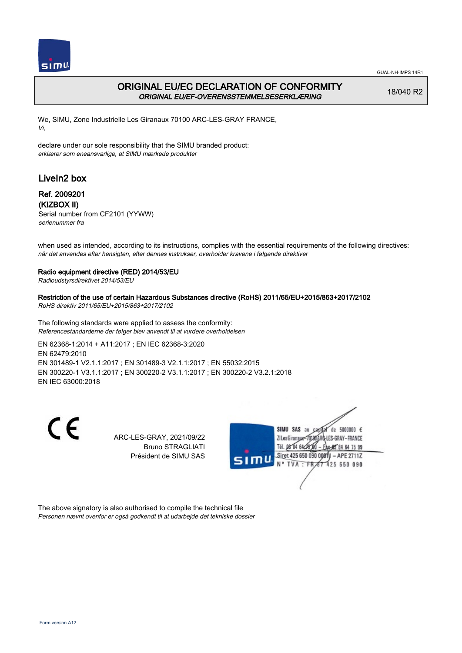

## ORIGINAL EU/EC DECLARATION OF CONFORMITY ORIGINAL EU/EF-OVERENSSTEMMELSESERKLÆRING

18/040 R2

We, SIMU, Zone Industrielle Les Giranaux 70100 ARC-LES-GRAY FRANCE, Vi,

declare under our sole responsibility that the SIMU branded product: erklærer som eneansvarlige, at SIMU mærkede produkter

# LiveIn2 box

## Ref. 2009201 (KIZBOX II)

Serial number from CF2101 (YYWW) serienummer fra

when used as intended, according to its instructions, complies with the essential requirements of the following directives: når det anvendes efter hensigten, efter dennes instrukser, overholder kravene i følgende direktiver

### Radio equipment directive (RED) 2014/53/EU

Radioudstyrsdirektivet 2014/53/EU

### Restriction of the use of certain Hazardous Substances directive (RoHS) 2011/65/EU+2015/863+2017/2102

RoHS direktiv 2011/65/EU+2015/863+2017/2102

The following standards were applied to assess the conformity: Referencestandarderne der følger blev anvendt til at vurdere overholdelsen

EN 62368‑1:2014 + A11:2017 ; EN IEC 62368‑3:2020 EN 62479:2010 EN 301489‑1 V2.1.1:2017 ; EN 301489‑3 V2.1.1:2017 ; EN 55032:2015 EN 300220‑1 V3.1.1:2017 ; EN 300220‑2 V3.1.1:2017 ; EN 300220‑2 V3.2.1:2018 EN IEC 63000:2018

 $\epsilon$ 

ARC-LES-GRAY, 2021/09/22 Bruno STRAGLIATI Président de SIMU SAS



The above signatory is also authorised to compile the technical file Personen nævnt ovenfor er også godkendt til at udarbejde det tekniske dossier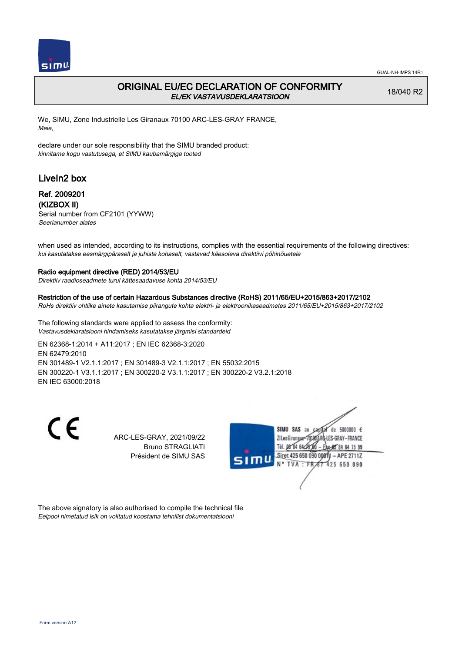

## ORIGINAL EU/EC DECLARATION OF CONFORMITY EL/EK VASTAVUSDEKLARATSIOON

18/040 R2

We, SIMU, Zone Industrielle Les Giranaux 70100 ARC-LES-GRAY FRANCE, Meie,

declare under our sole responsibility that the SIMU branded product: kinnitame kogu vastutusega, et SIMU kaubamärgiga tooted

# LiveIn2 box

### Ref. 2009201 (KIZBOX II)

Serial number from CF2101 (YYWW) Seerianumber alates

when used as intended, according to its instructions, complies with the essential requirements of the following directives: kui kasutatakse eesmärgipäraselt ja juhiste kohaselt, vastavad käesoleva direktiivi põhinõuetele

#### Radio equipment directive (RED) 2014/53/EU

Direktiiv raadioseadmete turul kättesaadavuse kohta 2014/53/EU

#### Restriction of the use of certain Hazardous Substances directive (RoHS) 2011/65/EU+2015/863+2017/2102

RoHs direktiiv ohtlike ainete kasutamise piirangute kohta elektri- ja elektroonikaseadmetes 2011/65/EU+2015/863+2017/2102

The following standards were applied to assess the conformity: Vastavusdeklaratsiooni hindamiseks kasutatakse järgmisi standardeid

EN 62368‑1:2014 + A11:2017 ; EN IEC 62368‑3:2020 EN 62479:2010 EN 301489‑1 V2.1.1:2017 ; EN 301489‑3 V2.1.1:2017 ; EN 55032:2015 EN 300220‑1 V3.1.1:2017 ; EN 300220‑2 V3.1.1:2017 ; EN 300220‑2 V3.2.1:2018 EN IEC 63000:2018

 $\epsilon$ 

ARC-LES-GRAY, 2021/09/22 Bruno STRAGLIATI Président de SIMU SAS



The above signatory is also authorised to compile the technical file Eelpool nimetatud isik on volitatud koostama tehnilist dokumentatsiooni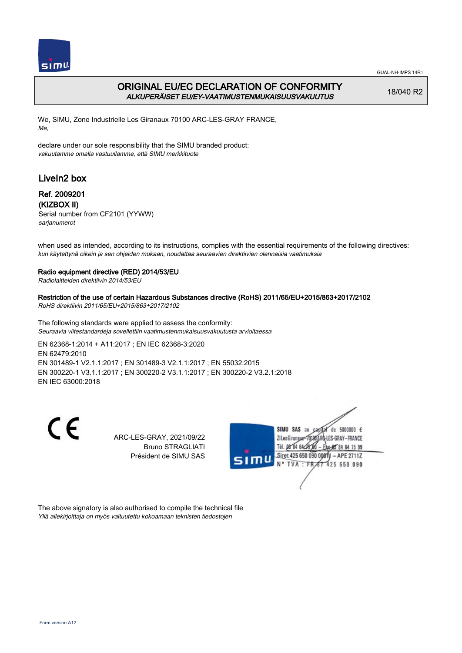

## ORIGINAL EU/EC DECLARATION OF CONFORMITY ALKUPERÄISET EU/EY-VAATIMUSTENMUKAISUUSVAKUUTUS

18/040 R2

We, SIMU, Zone Industrielle Les Giranaux 70100 ARC-LES-GRAY FRANCE, Me,

declare under our sole responsibility that the SIMU branded product: vakuutamme omalla vastuullamme, että SIMU merkkituote

# LiveIn2 box

### Ref. 2009201 (KIZBOX II)

Serial number from CF2101 (YYWW) sarjanumerot

when used as intended, according to its instructions, complies with the essential requirements of the following directives: kun käytettynä oikein ja sen ohjeiden mukaan, noudattaa seuraavien direktiivien olennaisia vaatimuksia

### Radio equipment directive (RED) 2014/53/EU

Radiolaitteiden direktiivin 2014/53/EU

### Restriction of the use of certain Hazardous Substances directive (RoHS) 2011/65/EU+2015/863+2017/2102

RoHS direktiivin 2011/65/EU+2015/863+2017/2102

The following standards were applied to assess the conformity: Seuraavia viitestandardeja sovellettiin vaatimustenmukaisuusvakuutusta arvioitaessa

EN 62368‑1:2014 + A11:2017 ; EN IEC 62368‑3:2020 EN 62479:2010 EN 301489‑1 V2.1.1:2017 ; EN 301489‑3 V2.1.1:2017 ; EN 55032:2015 EN 300220‑1 V3.1.1:2017 ; EN 300220‑2 V3.1.1:2017 ; EN 300220‑2 V3.2.1:2018 EN IEC 63000:2018

 $\epsilon$ 

ARC-LES-GRAY, 2021/09/22 Bruno STRAGLIATI Président de SIMU SAS



The above signatory is also authorised to compile the technical file Yllä allekirjoittaja on myös valtuutettu kokoamaan teknisten tiedostojen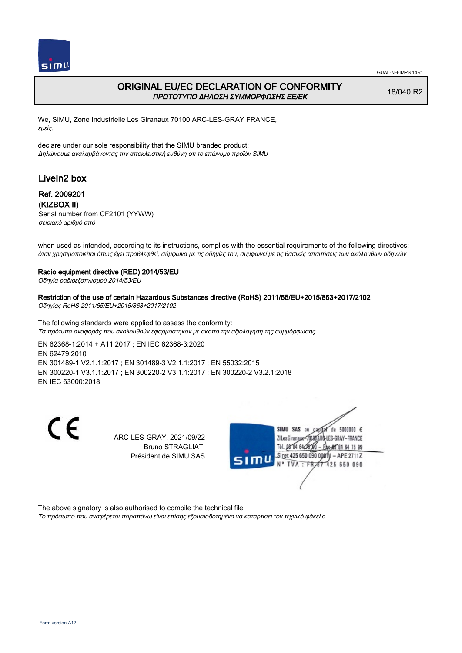

## ORIGINAL EU/EC DECLARATION OF CONFORMITY ΠΡΩΤΟΤΥΠΟ ΔΗΛΩΣΗ ΣΥΜΜΟΡΦΩΣΗΣ ΕΕ/EK

18/040 R2

We, SIMU, Zone Industrielle Les Giranaux 70100 ARC-LES-GRAY FRANCE, εμείς,

declare under our sole responsibility that the SIMU branded product: Δηλώνουμε αναλαμβάνοντας την αποκλειστική ευθύνη ότι το επώνυμο προϊόν SIMU

# LiveIn2 box

### Ref. 2009201 (KIZBOX II)

Serial number from CF2101 (YYWW) σειριακό αριθμό από

when used as intended, according to its instructions, complies with the essential requirements of the following directives: όταν χρησιμοποιείται όπως έχει προβλεφθεί, σύμφωνα με τις οδηγίες του, συμφωνεί με τις βασικές απαιτήσεις των ακόλουθων οδηγιών

#### Radio equipment directive (RED) 2014/53/EU

Οδηγία ραδιοεξοπλισμού 2014/53/EU

#### Restriction of the use of certain Hazardous Substances directive (RoHS) 2011/65/EU+2015/863+2017/2102

Οδηγίας RoHS 2011/65/EU+2015/863+2017/2102

The following standards were applied to assess the conformity: Τα πρότυπα αναφοράς που ακολουθούν εφαρμόστηκαν με σκοπό την αξιολόγηση της συμμόρφωσης

EN 62368‑1:2014 + A11:2017 ; EN IEC 62368‑3:2020 EN 62479:2010 EN 301489‑1 V2.1.1:2017 ; EN 301489‑3 V2.1.1:2017 ; EN 55032:2015 EN 300220‑1 V3.1.1:2017 ; EN 300220‑2 V3.1.1:2017 ; EN 300220‑2 V3.2.1:2018 EN IEC 63000:2018

 $\epsilon$ 

ARC-LES-GRAY, 2021/09/22 Bruno STRAGLIATI Président de SIMU SAS



The above signatory is also authorised to compile the technical file

Το πρόσωπο που αναφέρεται παραπάνω είναι επίσης εξουσιοδοτημένο να καταρτίσει τον τεχνικό φάκελο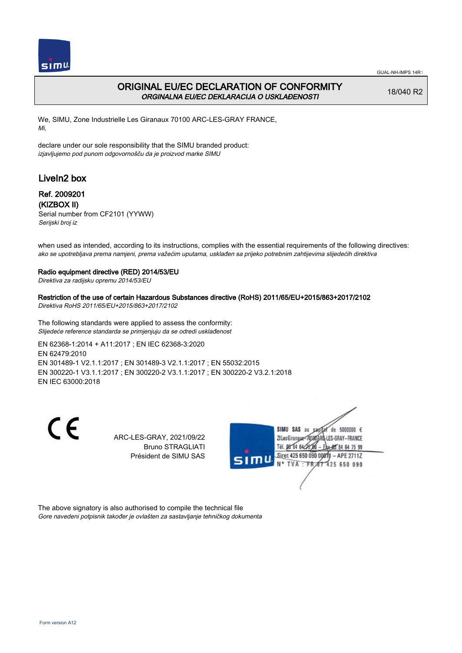

## ORIGINAL EU/EC DECLARATION OF CONFORMITY ORGINALNA EU/EC DEKLARACIJA O USKLAĐENOSTI

18/040 R2

We, SIMU, Zone Industrielle Les Giranaux 70100 ARC-LES-GRAY FRANCE, Mi,

declare under our sole responsibility that the SIMU branded product: izjavljujemo pod punom odgovornošču da je proizvod marke SIMU

# LiveIn2 box

### Ref. 2009201 (KIZBOX II)

Serial number from CF2101 (YYWW) Serijski broj iz

when used as intended, according to its instructions, complies with the essential requirements of the following directives: ako se upotrebljava prema namjeni, prema važećim uputama, usklađen sa prijeko potrebnim zahtijevima slijedećih direktiva

### Radio equipment directive (RED) 2014/53/EU

Direktiva za radijsku opremu 2014/53/EU

### Restriction of the use of certain Hazardous Substances directive (RoHS) 2011/65/EU+2015/863+2017/2102

Direktiva RoHS 2011/65/EU+2015/863+2017/2102

The following standards were applied to assess the conformity: Slijedeće reference standarda se primjenjuju da se odredi usklađenost

EN 62368‑1:2014 + A11:2017 ; EN IEC 62368‑3:2020 EN 62479:2010 EN 301489‑1 V2.1.1:2017 ; EN 301489‑3 V2.1.1:2017 ; EN 55032:2015 EN 300220‑1 V3.1.1:2017 ; EN 300220‑2 V3.1.1:2017 ; EN 300220‑2 V3.2.1:2018 EN IEC 63000:2018

 $\epsilon$ 

ARC-LES-GRAY, 2021/09/22 Bruno STRAGLIATI Président de SIMU SAS



The above signatory is also authorised to compile the technical file Gore navedeni potpisnik također je ovlašten za sastavljanje tehničkog dokumenta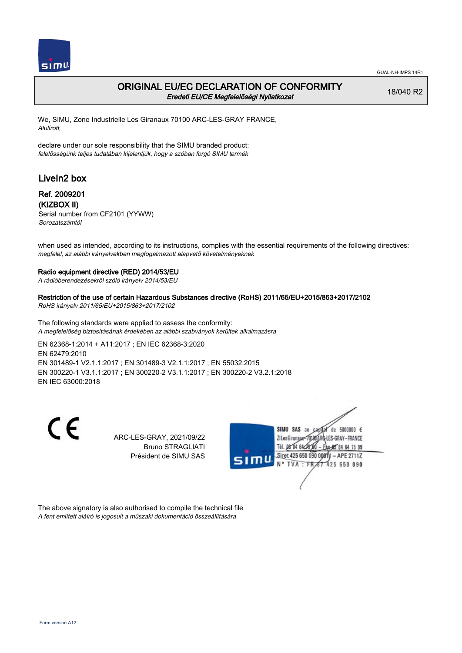

## ORIGINAL EU/EC DECLARATION OF CONFORMITY Eredeti EU/CE Megfelelőségi Nyilatkozat

18/040 R2

We, SIMU, Zone Industrielle Les Giranaux 70100 ARC-LES-GRAY FRANCE, Alulírott,

declare under our sole responsibility that the SIMU branded product: felelősségünk teljes tudatában kijelentjük, hogy a szóban forgó SIMU termék

# LiveIn2 box

### Ref. 2009201 (KIZBOX II)

Serial number from CF2101 (YYWW) Sorozatszámtól

when used as intended, according to its instructions, complies with the essential requirements of the following directives: megfelel, az alábbi irányelvekben megfogalmazott alapvető követelményeknek

#### Radio equipment directive (RED) 2014/53/EU

A rádióberendezésekről szóló irányelv 2014/53/EU

Restriction of the use of certain Hazardous Substances directive (RoHS) 2011/65/EU+2015/863+2017/2102 RoHS irányelv 2011/65/EU+2015/863+2017/2102

The following standards were applied to assess the conformity: A megfelelőség biztosításának érdekében az alábbi szabványok kerültek alkalmazásra

EN 62368‑1:2014 + A11:2017 ; EN IEC 62368‑3:2020 EN 62479:2010 EN 301489‑1 V2.1.1:2017 ; EN 301489‑3 V2.1.1:2017 ; EN 55032:2015 EN 300220‑1 V3.1.1:2017 ; EN 300220‑2 V3.1.1:2017 ; EN 300220‑2 V3.2.1:2018 EN IEC 63000:2018

 $\epsilon$ 

ARC-LES-GRAY, 2021/09/22 Bruno STRAGLIATI Président de SIMU SAS



The above signatory is also authorised to compile the technical file A fent említett aláíró is jogosult a műszaki dokumentáció összeállítására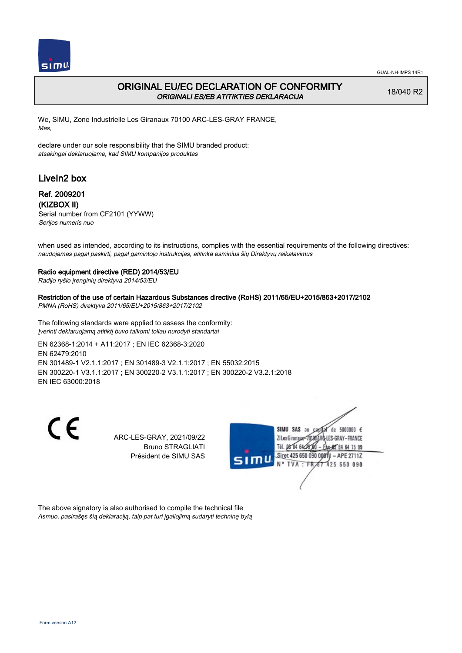

## ORIGINAL EU/EC DECLARATION OF CONFORMITY ORIGINALI ES/EB ATITIKTIES DEKLARACIJA

18/040 R2

We, SIMU, Zone Industrielle Les Giranaux 70100 ARC-LES-GRAY FRANCE, Mes,

declare under our sole responsibility that the SIMU branded product: atsakingai deklaruojame, kad SIMU kompanijos produktas

# LiveIn2 box

## Ref. 2009201 (KIZBOX II)

Serial number from CF2101 (YYWW) Serijos numeris nuo

when used as intended, according to its instructions, complies with the essential requirements of the following directives: naudojamas pagal paskirtį, pagal gamintojo instrukcijas, atitinka esminius šių Direktyvų reikalavimus

### Radio equipment directive (RED) 2014/53/EU

Radijo ryšio įrenginių direktyva 2014/53/EU

### Restriction of the use of certain Hazardous Substances directive (RoHS) 2011/65/EU+2015/863+2017/2102

PMNA (RoHS) direktyva 2011/65/EU+2015/863+2017/2102

The following standards were applied to assess the conformity: Įverinti deklaruojamą atitiktį buvo taikomi toliau nurodyti standartai

EN 62368‑1:2014 + A11:2017 ; EN IEC 62368‑3:2020 EN 62479:2010 EN 301489‑1 V2.1.1:2017 ; EN 301489‑3 V2.1.1:2017 ; EN 55032:2015 EN 300220‑1 V3.1.1:2017 ; EN 300220‑2 V3.1.1:2017 ; EN 300220‑2 V3.2.1:2018 EN IEC 63000:2018

 $\epsilon$ 

ARC-LES-GRAY, 2021/09/22 Bruno STRAGLIATI Président de SIMU SAS



The above signatory is also authorised to compile the technical file Asmuo, pasirašęs šią deklaraciją, taip pat turi įgaliojimą sudaryti techninę bylą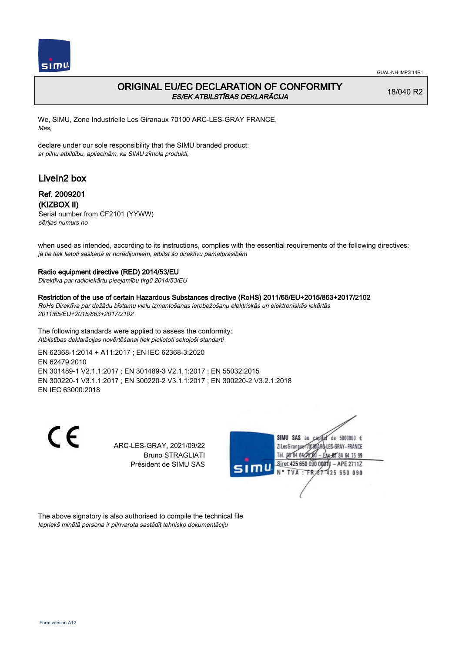

# ORIGINAL EU/EC DECLARATION OF CONFORMITY ES/EK ATBILSTĪBAS DEKLARĀCIJA

18/040 R2

We, SIMU, Zone Industrielle Les Giranaux 70100 ARC-LES-GRAY FRANCE, Mēs,

declare under our sole responsibility that the SIMU branded product: ar pilnu atbildību, apliecinām, ka SIMU zīmola produkti,

# LiveIn2 box

## Ref. 2009201 (KIZBOX II)

Serial number from CF2101 (YYWW) sērijas numurs no

when used as intended, according to its instructions, complies with the essential requirements of the following directives: ja tie tiek lietoti saskaņā ar norādījumiem, atbilst šo direktīvu pamatprasībām

### Radio equipment directive (RED) 2014/53/EU

Direktīva par radioiekārtu pieejamību tirgū 2014/53/EU

## Restriction of the use of certain Hazardous Substances directive (RoHS) 2011/65/EU+2015/863+2017/2102

RoHs Direktīva par dažādu bīstamu vielu izmantošanas ierobežošanu elektriskās un elektroniskās iekārtās 2011/65/EU+2015/863+2017/2102

The following standards were applied to assess the conformity: Atbilstības deklarācijas novērtēšanai tiek pielietoti sekojoši standarti

EN 62368‑1:2014 + A11:2017 ; EN IEC 62368‑3:2020 EN 62479:2010 EN 301489‑1 V2.1.1:2017 ; EN 301489‑3 V2.1.1:2017 ; EN 55032:2015 EN 300220‑1 V3.1.1:2017 ; EN 300220‑2 V3.1.1:2017 ; EN 300220‑2 V3.2.1:2018 EN IEC 63000:2018

 $\epsilon$ 

ARC-LES-GRAY, 2021/09/22 Bruno STRAGLIATI Président de SIMU SAS



The above signatory is also authorised to compile the technical file Iepriekš minētā persona ir pilnvarota sastādīt tehnisko dokumentāciju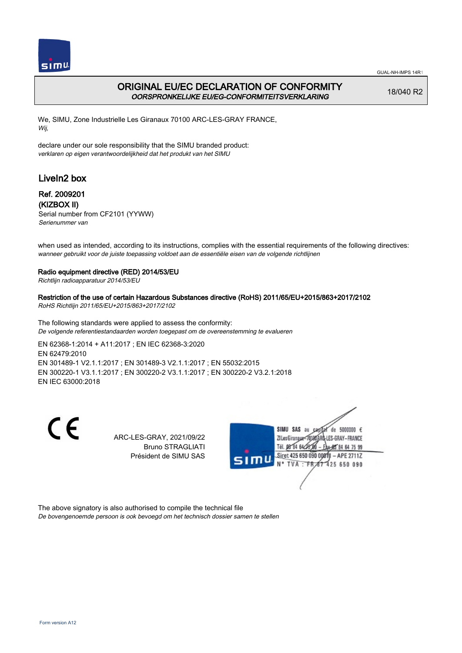

## ORIGINAL EU/EC DECLARATION OF CONFORMITY OORSPRONKELIJKE EU/EG-CONFORMITEITSVERKLARING

18/040 R2

We, SIMU, Zone Industrielle Les Giranaux 70100 ARC-LES-GRAY FRANCE, Wij,

declare under our sole responsibility that the SIMU branded product: verklaren op eigen verantwoordelijkheid dat het produkt van het SIMU

# LiveIn2 box

## Ref. 2009201 (KIZBOX II)

Serial number from CF2101 (YYWW) Serienummer van

when used as intended, according to its instructions, complies with the essential requirements of the following directives: wanneer gebruikt voor de juiste toepassing voldoet aan de essentiële eisen van de volgende richtlijnen

### Radio equipment directive (RED) 2014/53/EU

Richtlijn radioapparatuur 2014/53/EU

### Restriction of the use of certain Hazardous Substances directive (RoHS) 2011/65/EU+2015/863+2017/2102

RoHS Richtlijn 2011/65/EU+2015/863+2017/2102

The following standards were applied to assess the conformity: De volgende referentiestandaarden worden toegepast om de overeenstemming te evalueren

EN 62368‑1:2014 + A11:2017 ; EN IEC 62368‑3:2020 EN 62479:2010 EN 301489‑1 V2.1.1:2017 ; EN 301489‑3 V2.1.1:2017 ; EN 55032:2015 EN 300220‑1 V3.1.1:2017 ; EN 300220‑2 V3.1.1:2017 ; EN 300220‑2 V3.2.1:2018 EN IEC 63000:2018

 $\epsilon$ 

ARC-LES-GRAY, 2021/09/22 Bruno STRAGLIATI Président de SIMU SAS



The above signatory is also authorised to compile the technical file De bovengenoemde persoon is ook bevoegd om het technisch dossier samen te stellen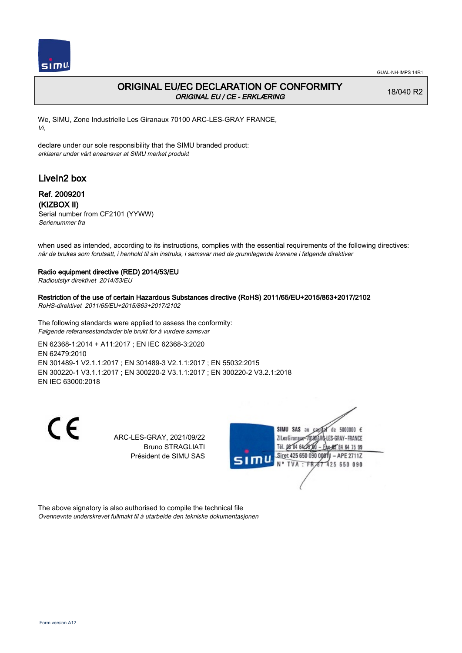

## ORIGINAL EU/EC DECLARATION OF CONFORMITY ORIGINAL EU / CE - ERKLÆRING

18/040 R2

We, SIMU, Zone Industrielle Les Giranaux 70100 ARC-LES-GRAY FRANCE, Vi,

declare under our sole responsibility that the SIMU branded product: erklærer under vårt eneansvar at SIMU merket produkt

# LiveIn2 box

## Ref. 2009201 (KIZBOX II)

Serial number from CF2101 (YYWW) Serienummer fra

when used as intended, according to its instructions, complies with the essential requirements of the following directives: når de brukes som forutsatt, i henhold til sin instruks, i samsvar med de grunnlegende kravene i følgende direktiver

### Radio equipment directive (RED) 2014/53/EU

Radioutstyr direktivet 2014/53/EU

#### Restriction of the use of certain Hazardous Substances directive (RoHS) 2011/65/EU+2015/863+2017/2102

RoHS-direktivet 2011/65/EU+2015/863+2017/2102

The following standards were applied to assess the conformity: Følgende referansestandarder ble brukt for å vurdere samsvar

EN 62368‑1:2014 + A11:2017 ; EN IEC 62368‑3:2020 EN 62479:2010 EN 301489‑1 V2.1.1:2017 ; EN 301489‑3 V2.1.1:2017 ; EN 55032:2015 EN 300220‑1 V3.1.1:2017 ; EN 300220‑2 V3.1.1:2017 ; EN 300220‑2 V3.2.1:2018 EN IEC 63000:2018

 $\epsilon$ 

ARC-LES-GRAY, 2021/09/22 Bruno STRAGLIATI Président de SIMU SAS



The above signatory is also authorised to compile the technical file Ovennevnte underskrevet fullmakt til å utarbeide den tekniske dokumentasjonen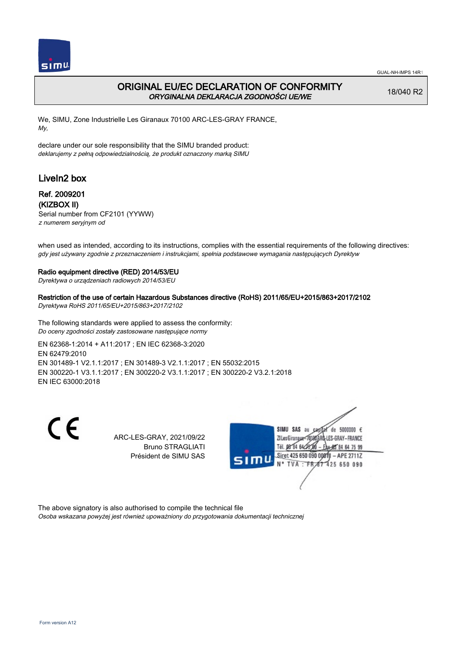

## ORIGINAL EU/EC DECLARATION OF CONFORMITY ORYGINALNA DEKLARACJA ZGODNOŚCI UE/WE

18/040 R2

We, SIMU, Zone Industrielle Les Giranaux 70100 ARC-LES-GRAY FRANCE, My,

declare under our sole responsibility that the SIMU branded product: deklarujemy z pełną odpowiedzialnością, że produkt oznaczony marką SIMU

# LiveIn2 box

## Ref. 2009201 (KIZBOX II)

Serial number from CF2101 (YYWW) z numerem seryjnym od

when used as intended, according to its instructions, complies with the essential requirements of the following directives: gdy jest używany zgodnie z przeznaczeniem i instrukcjami, spełnia podstawowe wymagania następujących Dyrektyw

### Radio equipment directive (RED) 2014/53/EU

Dyrektywa o urządzeniach radiowych 2014/53/EU

Restriction of the use of certain Hazardous Substances directive (RoHS) 2011/65/EU+2015/863+2017/2102

Dyrektywa RoHS 2011/65/EU+2015/863+2017/2102

The following standards were applied to assess the conformity: Do oceny zgodności zostały zastosowane następujące normy

EN 62368‑1:2014 + A11:2017 ; EN IEC 62368‑3:2020 EN 62479:2010 EN 301489‑1 V2.1.1:2017 ; EN 301489‑3 V2.1.1:2017 ; EN 55032:2015 EN 300220‑1 V3.1.1:2017 ; EN 300220‑2 V3.1.1:2017 ; EN 300220‑2 V3.2.1:2018 EN IEC 63000:2018

 $\epsilon$ 

ARC-LES-GRAY, 2021/09/22 Bruno STRAGLIATI Président de SIMU SAS



The above signatory is also authorised to compile the technical file Osoba wskazana powyżej jest również upoważniony do przygotowania dokumentacji technicznej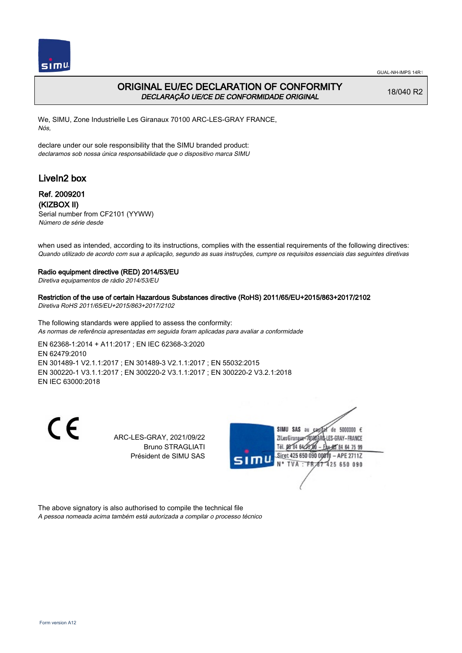

## ORIGINAL EU/EC DECLARATION OF CONFORMITY DECLARAÇÃO UE/CE DE CONFORMIDADE ORIGINAL

18/040 R2

We, SIMU, Zone Industrielle Les Giranaux 70100 ARC-LES-GRAY FRANCE, Nós,

declare under our sole responsibility that the SIMU branded product: declaramos sob nossa única responsabilidade que o dispositivo marca SIMU

# LiveIn2 box

### Ref. 2009201 (KIZBOX II)

Serial number from CF2101 (YYWW) Número de série desde

when used as intended, according to its instructions, complies with the essential requirements of the following directives: Quando utilizado de acordo com sua a aplicação, segundo as suas instruções, cumpre os requisitos essenciais das seguintes diretivas

#### Radio equipment directive (RED) 2014/53/EU

Diretiva equipamentos de rádio 2014/53/EU

Restriction of the use of certain Hazardous Substances directive (RoHS) 2011/65/EU+2015/863+2017/2102 Diretiva RoHS 2011/65/EU+2015/863+2017/2102

The following standards were applied to assess the conformity: As normas de referência apresentadas em seguida foram aplicadas para avaliar a conformidade

EN 62368‑1:2014 + A11:2017 ; EN IEC 62368‑3:2020 EN 62479:2010 EN 301489‑1 V2.1.1:2017 ; EN 301489‑3 V2.1.1:2017 ; EN 55032:2015 EN 300220‑1 V3.1.1:2017 ; EN 300220‑2 V3.1.1:2017 ; EN 300220‑2 V3.2.1:2018 EN IEC 63000:2018

 $\epsilon$ 

ARC-LES-GRAY, 2021/09/22 Bruno STRAGLIATI Président de SIMU SAS



The above signatory is also authorised to compile the technical file A pessoa nomeada acima também está autorizada a compilar o processo técnico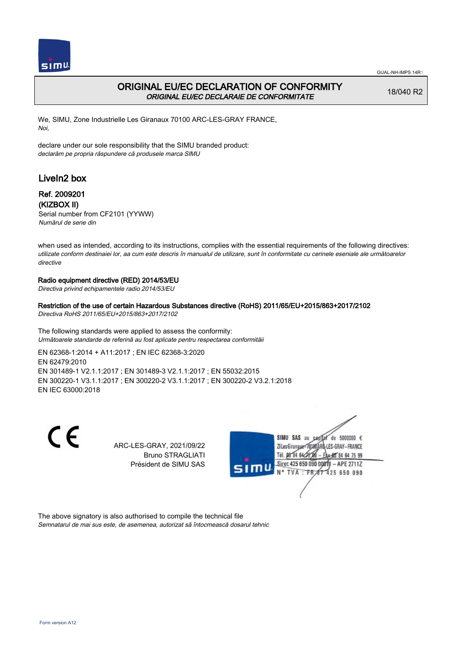

## ORIGINAL EU/EC DECLARATION OF CONFORMITY ORIGINAL EU/EC DECLARAIE DE CONFORMITATE

18/040 R2

We, SIMU, Zone Industrielle Les Giranaux 70100 ARC-LES-GRAY FRANCE, Noi,

declare under our sole responsibility that the SIMU branded product: declarăm pe propria răspundere că produsele marca SIMU

# LiveIn2 box

## Ref. 2009201 (KIZBOX II)

Serial number from CF2101 (YYWW) Numărul de serie din

when used as intended, according to its instructions, complies with the essential requirements of the following directives: utilizate conform destinaiei lor, aa cum este descris în manualul de utilizare, sunt în conformitate cu cerinele eseniale ale următoarelor directive

## Radio equipment directive (RED) 2014/53/EU

Directiva privind echipamentele radio 2014/53/EU

### Restriction of the use of certain Hazardous Substances directive (RoHS) 2011/65/EU+2015/863+2017/2102

Directiva RoHS 2011/65/EU+2015/863+2017/2102

The following standards were applied to assess the conformity: Următoarele standarde de referină au fost aplicate pentru respectarea conformităii

EN 62368‑1:2014 + A11:2017 ; EN IEC 62368‑3:2020 EN 62479:2010 EN 301489‑1 V2.1.1:2017 ; EN 301489‑3 V2.1.1:2017 ; EN 55032:2015 EN 300220‑1 V3.1.1:2017 ; EN 300220‑2 V3.1.1:2017 ; EN 300220‑2 V3.2.1:2018 EN IEC 63000:2018

 $\epsilon$ 

ARC-LES-GRAY, 2021/09/22 Bruno STRAGLIATI Président de SIMU SAS



The above signatory is also authorised to compile the technical file Semnatarul de mai sus este, de asemenea, autorizat să întocmească dosarul tehnic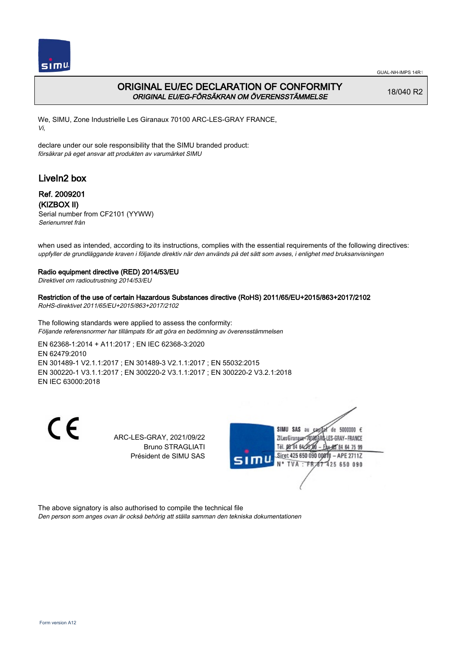

## ORIGINAL EU/EC DECLARATION OF CONFORMITY ORIGINAL EU/EG-FÖRSÄKRAN OM ÖVERENSSTÄMMELSE

18/040 R2

We, SIMU, Zone Industrielle Les Giranaux 70100 ARC-LES-GRAY FRANCE, Vi,

declare under our sole responsibility that the SIMU branded product: försäkrar på eget ansvar att produkten av varumärket SIMU

# LiveIn2 box

## Ref. 2009201 (KIZBOX II)

Serial number from CF2101 (YYWW) Serienumret från

when used as intended, according to its instructions, complies with the essential requirements of the following directives: uppfyller de grundläggande kraven i följande direktiv när den används på det sätt som avses, i enlighet med bruksanvisningen

### Radio equipment directive (RED) 2014/53/EU

Direktivet om radioutrustning 2014/53/EU

### Restriction of the use of certain Hazardous Substances directive (RoHS) 2011/65/EU+2015/863+2017/2102

RoHS-direktivet 2011/65/EU+2015/863+2017/2102

The following standards were applied to assess the conformity: Följande referensnormer har tillämpats för att göra en bedömning av överensstämmelsen

EN 62368‑1:2014 + A11:2017 ; EN IEC 62368‑3:2020 EN 62479:2010 EN 301489‑1 V2.1.1:2017 ; EN 301489‑3 V2.1.1:2017 ; EN 55032:2015 EN 300220‑1 V3.1.1:2017 ; EN 300220‑2 V3.1.1:2017 ; EN 300220‑2 V3.2.1:2018 EN IEC 63000:2018

 $\epsilon$ 

ARC-LES-GRAY, 2021/09/22 Bruno STRAGLIATI Président de SIMU SAS



The above signatory is also authorised to compile the technical file

Den person som anges ovan är också behörig att ställa samman den tekniska dokumentationen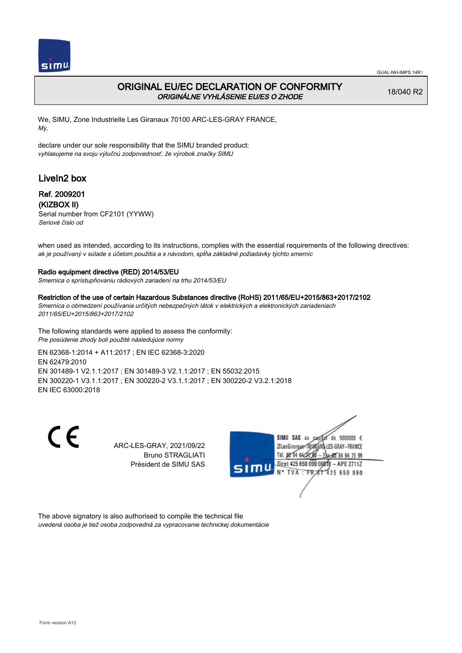

# ORIGINAL EU/EC DECLARATION OF CONFORMITY ORIGINÁLNE VYHLÁSENIE EU/ES O ZHODE

18/040 R2

We, SIMU, Zone Industrielle Les Giranaux 70100 ARC-LES-GRAY FRANCE, My,

declare under our sole responsibility that the SIMU branded product: vyhlasujeme na svoju výlučnú zodpovednosť, že výrobok značky SIMU

# LiveIn2 box

### Ref. 2009201 (KIZBOX II)

Serial number from CF2101 (YYWW) Seriové číslo od

when used as intended, according to its instructions, complies with the essential requirements of the following directives: ak je používaný v súlade s účelom použitia a s návodom, spĺňa základné požiadavky týchto smerníc

### Radio equipment directive (RED) 2014/53/EU

Smernica o sprístupňovaniu rádiových zariadení na trhu 2014/53/EU

#### Restriction of the use of certain Hazardous Substances directive (RoHS) 2011/65/EU+2015/863+2017/2102

Smernica o obmedzení používania určitých nebezpečných látok v elektrických a elektronických zariadeniach 2011/65/EU+2015/863+2017/2102

The following standards were applied to assess the conformity: Pre posúdenie zhody boli použité následujúce normy

EN 62368‑1:2014 + A11:2017 ; EN IEC 62368‑3:2020 EN 62479:2010 EN 301489‑1 V2.1.1:2017 ; EN 301489‑3 V2.1.1:2017 ; EN 55032:2015 EN 300220‑1 V3.1.1:2017 ; EN 300220‑2 V3.1.1:2017 ; EN 300220‑2 V3.2.1:2018 EN IEC 63000:2018

 $\epsilon$ 

ARC-LES-GRAY, 2021/09/22 Bruno STRAGLIATI Président de SIMU SAS



The above signatory is also authorised to compile the technical file uvedená osoba je tiež osoba zodpovedná za vypracovanie technickej dokumentácie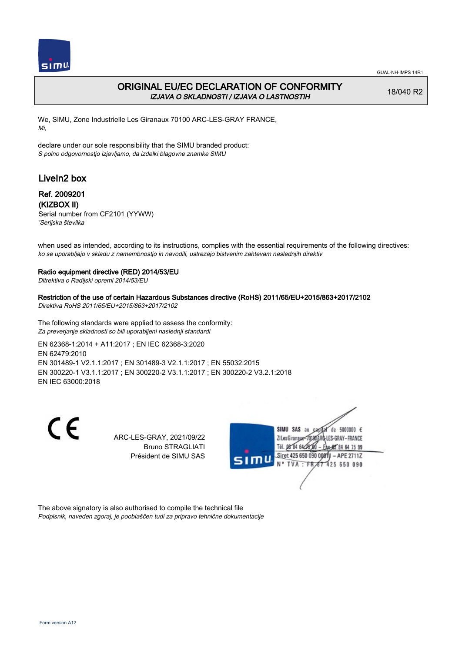

## ORIGINAL EU/EC DECLARATION OF CONFORMITY IZJAVA O SKLADNOSTI / IZJAVA O LASTNOSTIH

18/040 R2

We, SIMU, Zone Industrielle Les Giranaux 70100 ARC-LES-GRAY FRANCE, Mi,

declare under our sole responsibility that the SIMU branded product: S polno odgovornostjo izjavljamo, da izdelki blagovne znamke SIMU

# LiveIn2 box

### Ref. 2009201 (KIZBOX II)

Serial number from CF2101 (YYWW) 'Serijska številka

when used as intended, according to its instructions, complies with the essential requirements of the following directives: ko se uporabljajo v skladu z namembnostjo in navodili, ustrezajo bistvenim zahtevam naslednjih direktiv

#### Radio equipment directive (RED) 2014/53/EU

Ditrektiva o Radijski opremi 2014/53/EU

#### Restriction of the use of certain Hazardous Substances directive (RoHS) 2011/65/EU+2015/863+2017/2102

Direktiva RoHS 2011/65/EU+2015/863+2017/2102

The following standards were applied to assess the conformity: Za preverjanje skladnosti so bili uporabljeni naslednji standardi

EN 62368‑1:2014 + A11:2017 ; EN IEC 62368‑3:2020 EN 62479:2010 EN 301489‑1 V2.1.1:2017 ; EN 301489‑3 V2.1.1:2017 ; EN 55032:2015 EN 300220‑1 V3.1.1:2017 ; EN 300220‑2 V3.1.1:2017 ; EN 300220‑2 V3.2.1:2018 EN IEC 63000:2018

 $\epsilon$ 

ARC-LES-GRAY, 2021/09/22 Bruno STRAGLIATI Président de SIMU SAS



The above signatory is also authorised to compile the technical file Podpisnik, naveden zgoraj, je pooblaščen tudi za pripravo tehnične dokumentacije